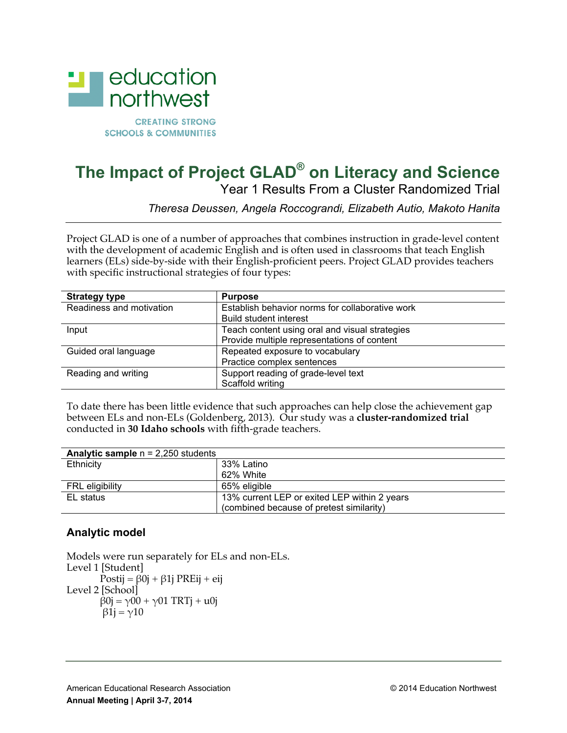

# **The Impact of Project GLAD® on Literacy and Science** Year 1 Results From a Cluster Randomized Trial

*Theresa Deussen, Angela Roccograndi, Elizabeth Autio, Makoto Hanita*

Project GLAD is one of a number of approaches that combines instruction in grade-level content with the development of academic English and is often used in classrooms that teach English learners (ELs) side-by-side with their English-proficient peers. Project GLAD provides teachers with specific instructional strategies of four types:

| <b>Strategy type</b>     | <b>Purpose</b>                                  |  |
|--------------------------|-------------------------------------------------|--|
| Readiness and motivation | Establish behavior norms for collaborative work |  |
|                          | <b>Build student interest</b>                   |  |
| Input                    | Teach content using oral and visual strategies  |  |
|                          | Provide multiple representations of content     |  |
| Guided oral language     | Repeated exposure to vocabulary                 |  |
|                          | Practice complex sentences                      |  |
| Reading and writing      | Support reading of grade-level text             |  |
|                          | Scaffold writing                                |  |

To date there has been little evidence that such approaches can help close the achievement gap between ELs and non-ELs (Goldenberg, 2013). Our study was a **cluster-randomized trial** conducted in **30 Idaho schools** with fifth-grade teachers.

| <b>Analytic sample <math>n = 2,250</math> students</b> |                                              |
|--------------------------------------------------------|----------------------------------------------|
| Ethnicity                                              | 33% Latino                                   |
|                                                        | 62% White                                    |
| <b>FRL</b> eligibility                                 | 65% eligible                                 |
| EL status                                              | 13% current LEP or exited LEP within 2 years |
|                                                        | (combined because of pretest similarity)     |

# **Analytic model**

```
Models were run separately for ELs and non-ELs.
Level 1 [Student]
       Postij = \beta0j + \beta1j PREij + eij
Level 2 [School]
       β0j = γ00 + γ01 TRTj + u0jβ1j = γ10
```